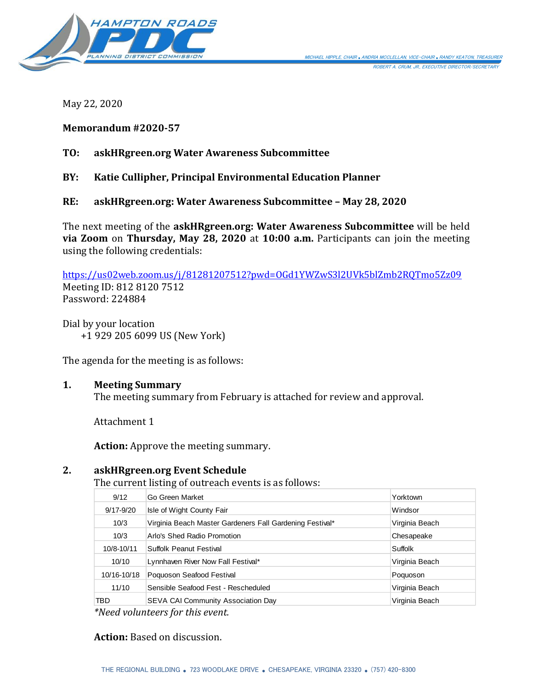

May 22, 2020

### **Memorandum #2020-57**

## **TO: askHRgreen.org Water Awareness Subcommittee**

## **BY: Katie Cullipher, Principal Environmental Education Planner**

### **RE: askHRgreen.org: Water Awareness Subcommittee – May 28, 2020**

The next meeting of the **askHRgreen.org: Water Awareness Subcommittee** will be held **via Zoom** on **Thursday, May 28, 2020** at **10:00 a.m.** Participants can join the meeting using the following credentials:

<https://us02web.zoom.us/j/81281207512?pwd=OGd1YWZwS3l2UVk5blZmb2RQTmo5Zz09> Meeting ID: 812 8120 7512 Password: 224884

Dial by your location +1 929 205 6099 US (New York)

The agenda for the meeting is as follows:

#### **1. Meeting Summary**

The meeting summary from February is attached for review and approval.

Attachment 1

**Action:** Approve the meeting summary.

#### **2. askHRgreen.org Event Schedule**

The current listing of outreach events is as follows:

| 9/12          | Go Green Market                                          | Yorktown       |
|---------------|----------------------------------------------------------|----------------|
| $9/17 - 9/20$ | Isle of Wight County Fair                                | Windsor        |
| 10/3          | Virginia Beach Master Gardeners Fall Gardening Festival* | Virginia Beach |
| 10/3          | Arlo's Shed Radio Promotion                              | Chesapeake     |
| 10/8-10/11    | Suffolk Peanut Festival                                  | Suffolk        |
| 10/10         | Lynnhaven River Now Fall Festival*                       | Virginia Beach |
| 10/16-10/18   | Poquoson Seafood Festival                                | Poquoson       |
| 11/10         | Sensible Seafood Fest - Rescheduled                      | Virginia Beach |
| TBD.          | <b>SEVA CAI Community Association Day</b>                | Virginia Beach |
| .<br>$\cdots$ |                                                          |                |

*\*Need volunteers for this event.*

#### **Action:** Based on discussion.